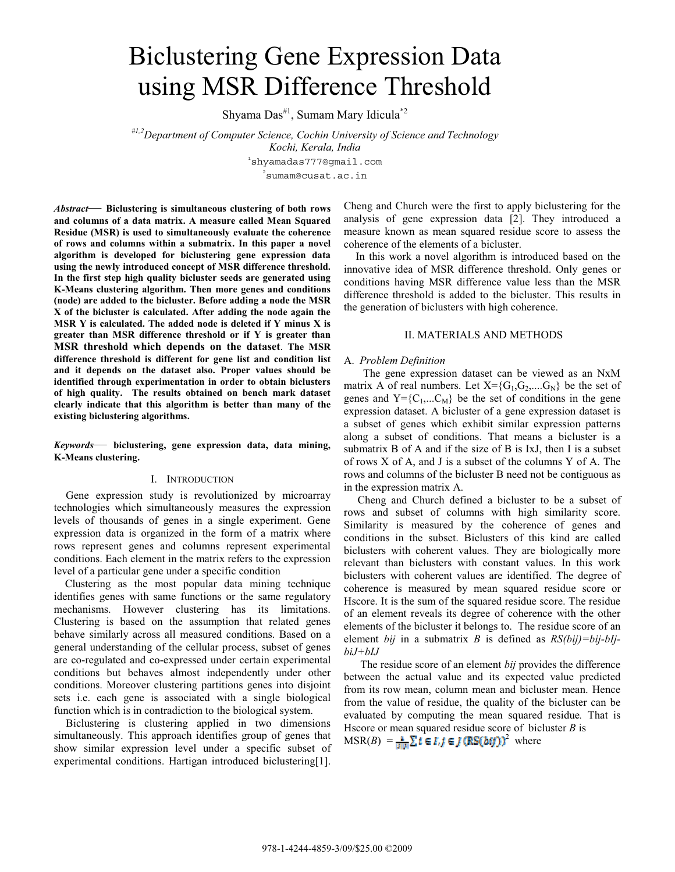# Biclustering Gene Expression Data using MSR Difference Threshold

Shyama Das<sup>#1</sup>, Sumam Mary Idicula<sup>\*2</sup>

*#1,2Department of Computer Science, Cochin University of Science and Technology Kochi, Kerala, India* 1 shyamadas777@gmail.com 2 sumam@cusat.ac.in

*Abstract*— **Biclustering is simultaneous clustering of both rows and columns of a data matrix. A measure called Mean Squared Residue (MSR) is used to simultaneously evaluate the coherence of rows and columns within a submatrix. In this paper a novel algorithm is developed for biclustering gene expression data using the newly introduced concept of MSR difference threshold. In the first step high quality bicluster seeds are generated using K-Means clustering algorithm. Then more genes and conditions (node) are added to the bicluster. Before adding a node the MSR X of the bicluster is calculated. After adding the node again the MSR Y is calculated. The added node is deleted if Y minus X is greater than MSR difference threshold or if Y is greater than MSR threshold which depends on the dataset**. **The MSR difference threshold is different for gene list and condition list and it depends on the dataset also. Proper values should be identified through experimentation in order to obtain biclusters of high quality. The results obtained on bench mark dataset clearly indicate that this algorithm is better than many of the existing biclustering algorithms.**

## *Keywords*— **biclustering, gene expression data, data mining, K-Means clustering.**

### I. INTRODUCTION

Gene expression study is revolutionized by microarray technologies which simultaneously measures the expression levels of thousands of genes in a single experiment. Gene expression data is organized in the form of a matrix where rows represent genes and columns represent experimental conditions. Each element in the matrix refers to the expression level of a particular gene under a specific condition

 Clustering as the most popular data mining technique identifies genes with same functions or the same regulatory mechanisms. However clustering has its limitations. Clustering is based on the assumption that related genes behave similarly across all measured conditions. Based on a general understanding of the cellular process, subset of genes are co-regulated and co-expressed under certain experimental conditions but behaves almost independently under other conditions. Moreover clustering partitions genes into disjoint sets i.e. each gene is associated with a single biological function which is in contradiction to the biological system.

Biclustering is clustering applied in two dimensions simultaneously. This approach identifies group of genes that show similar expression level under a specific subset of experimental conditions. Hartigan introduced biclustering[1].

Cheng and Church were the first to apply biclustering for the analysis of gene expression data [2]. They introduced a measure known as mean squared residue score to assess the coherence of the elements of a bicluster.

In this work a novel algorithm is introduced based on the innovative idea of MSR difference threshold. Only genes or conditions having MSR difference value less than the MSR difference threshold is added to the bicluster. This results in the generation of biclusters with high coherence.

# II. MATERIALS AND METHODS

## A. *Problem Definition*

The gene expression dataset can be viewed as an NxM matrix A of real numbers. Let  $X = \{G_1, G_2, ..., G_N\}$  be the set of genes and  $Y = \{C_1,...C_M\}$  be the set of conditions in the gene expression dataset. A bicluster of a gene expression dataset is a subset of genes which exhibit similar expression patterns along a subset of conditions. That means a bicluster is a submatrix B of A and if the size of B is IxJ, then I is a subset of rows X of A, and J is a subset of the columns Y of A. The rows and columns of the bicluster B need not be contiguous as in the expression matrix A.

 Cheng and Church defined a bicluster to be a subset of rows and subset of columns with high similarity score. Similarity is measured by the coherence of genes and conditions in the subset. Biclusters of this kind are called biclusters with coherent values. They are biologically more relevant than biclusters with constant values. In this work biclusters with coherent values are identified. The degree of coherence is measured by mean squared residue score or Hscore. It is the sum of the squared residue score. The residue of an element reveals its degree of coherence with the other elements of the bicluster it belongs to. The residue score of an element *bij* in a submatrix *B* is defined as *RS(bij)=bij-bIjbiJ+bIJ* 

 The residue score of an element *bij* provides the difference between the actual value and its expected value predicted from its row mean, column mean and bicluster mean. Hence from the value of residue, the quality of the bicluster can be evaluated by computing the mean squared residue*.* That is Hscore or mean squared residue score of bicluster *B* is  $MSR(B) = \frac{1}{2\pi\epsilon} \sum t \in I, j \in J (RS(bij))^2$  where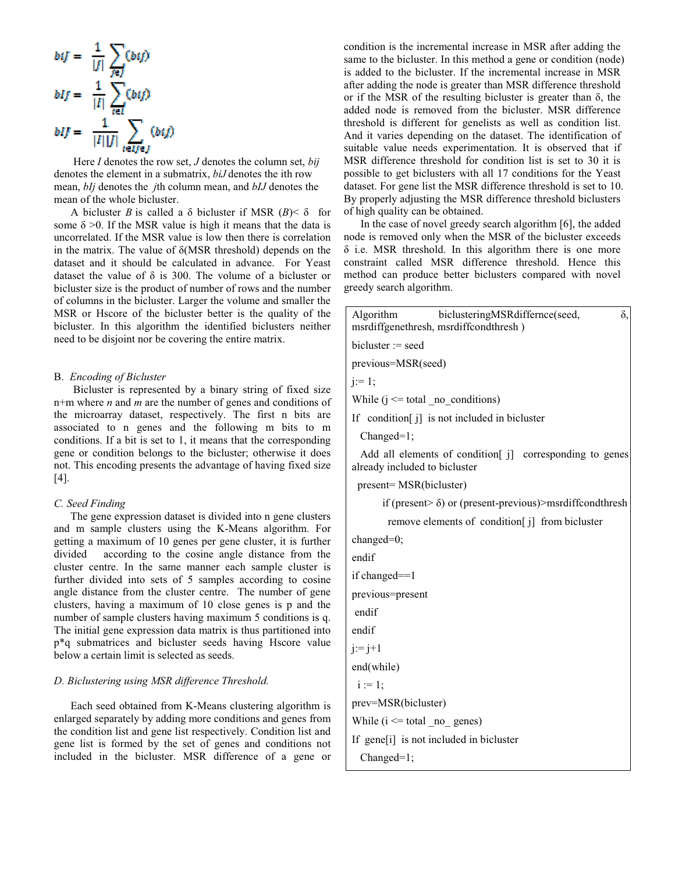$$
bif = \frac{1}{|f|} \sum_{f \in f} (bif)
$$

$$
bIf = \frac{1}{|f|} \sum_{t \in I} (bif)
$$

$$
bIf = \frac{1}{|f||f|} \sum_{t \in I/f} (bif)
$$

 Here *I* denotes the row set, *J* denotes the column set, *bij* denotes the element in a submatrix, *biJ* denotes the ith row mean, *bIj* denotes the *j*th column mean, and *bIJ* denotes the mean of the whole bicluster.

A bicluster *B* is called a  $\delta$  bicluster if MSR (*B*)<  $\delta$  for some  $\delta$  >0. If the MSR value is high it means that the data is uncorrelated. If the MSR value is low then there is correlation in the matrix. The value of  $\delta(MSR$  threshold) depends on the dataset and it should be calculated in advance. For Yeast dataset the value of  $\delta$  is 300. The volume of a bicluster or bicluster size is the product of number of rows and the number of columns in the bicluster. Larger the volume and smaller the MSR or Hscore of the bicluster better is the quality of the bicluster. In this algorithm the identified biclusters neither need to be disjoint nor be covering the entire matrix.

#### B. *Encoding of Bicluster*

Bicluster is represented by a binary string of fixed size n+m where *n* and *m* are the number of genes and conditions of the microarray dataset, respectively. The first n bits an associated to n genes and the following m bits to conditions. If a bit is set to 1, it means that the corresponding gene or condition belongs to the bicluster; otherwise it does not. This encoding presents the advantage of having fixed siz [4].

## *C. Seed Finding*

The gene expression dataset is divided into n gene clusters and m sample clusters using the K-Means algorithm. For getting a maximum of 10 genes per gene cluster, it is furtherdivided according to the cosine angle distance from the cluster centre. In the same manner each sample cluster further divided into sets of 5 samples according to cosine angle distance from the cluster centre. The number of gene clusters, having a maximum of 10 close genes is p and the number of sample clusters having maximum 5 conditions is The initial gene expression data matrix is thus partitioned int p<sup>\*</sup>q submatrices and bicluster seeds having Hscore value below a certain limit is selected as seeds.

#### *D. Biclustering using MSR difference Threshold.*

Each seed obtained from K-Means clustering algorithm enlarged separately by adding more conditions and genes from the condition list and gene list respectively. Condition list an gene list is formed by the set of genes and conditions no included in the bicluster. MSR difference of a gene or condition is the incremental increase in MSR after adding the same to the bicluster. In this method a gene or condition (node) is added to the bicluster. If the incremental increase in MSR after adding the node is greater than MSR difference threshold or if the MSR of the resulting bicluster is greater than  $\delta$ , the added node is removed from the bicluster. MSR difference threshold is different for genelists as well as condition list. And it varies depending on the dataset. The identification of suitable value needs experimentation. It is observed that if MSR difference threshold for condition list is set to 30 it is possible to get biclusters with all 17 conditions for the Yeast dataset. For gene list the MSR difference threshold is set to 10. By properly adjusting the MSR difference threshold biclusters of high quality can be obtained.

 In the case of novel greedy search algorithm [6], the added node is removed only when the MSR of the bicluster exceeds  $\delta$  i.e. MSR threshold. In this algorithm there is one more constraint called MSR difference threshold. Hence this method can produce better biclusters compared with novel greedy search algorithm.

| ıe                        |                                                                                            |  |  |  |  |  |
|---------------------------|--------------------------------------------------------------------------------------------|--|--|--|--|--|
| ıe<br>er                  | biclusteringMSRdiffernce(seed,<br>δ.<br>Algorithm<br>msrdiffgenethresh, msrdiffcondthresh) |  |  |  |  |  |
|                           | $b$ icluster := seed                                                                       |  |  |  |  |  |
| ze                        | previous=MSR(seed)                                                                         |  |  |  |  |  |
|                           | $i := 1;$                                                                                  |  |  |  |  |  |
| эf                        | While $(j \le$ total no conditions)                                                        |  |  |  |  |  |
| re<br>m<br>ıg<br>ЭS<br>ze | If condition[j] is not included in bicluster                                               |  |  |  |  |  |
|                           | Changed=1;                                                                                 |  |  |  |  |  |
|                           | Add all elements of condition[j] corresponding to genes<br>already included to bicluster   |  |  |  |  |  |
|                           | present= MSR(bicluster)                                                                    |  |  |  |  |  |
|                           | if (present> $\delta$ ) or (present-previous)>msrdiffcondthresh                            |  |  |  |  |  |
| rs<br>эr                  | remove elements of condition[j] from bicluster                                             |  |  |  |  |  |
| er                        | $changed=0;$                                                                               |  |  |  |  |  |
| ıe<br>1S                  | endif                                                                                      |  |  |  |  |  |
| ıe                        | if changed==1                                                                              |  |  |  |  |  |
| ıe                        | previous=present                                                                           |  |  |  |  |  |
| ıe<br>q.                  | endif                                                                                      |  |  |  |  |  |
| to                        | endif                                                                                      |  |  |  |  |  |
| ıe                        | $i := i+1$                                                                                 |  |  |  |  |  |
|                           | end(while)                                                                                 |  |  |  |  |  |
|                           | $i := 1;$                                                                                  |  |  |  |  |  |
| 1S<br>m                   | prev=MSR(bicluster)                                                                        |  |  |  |  |  |
|                           | While $(i \leq total \_no \_ genes)$                                                       |  |  |  |  |  |
| ıd<br>ot                  | If gene[i] is not included in bicluster                                                    |  |  |  |  |  |
| эr                        | Changed=1;                                                                                 |  |  |  |  |  |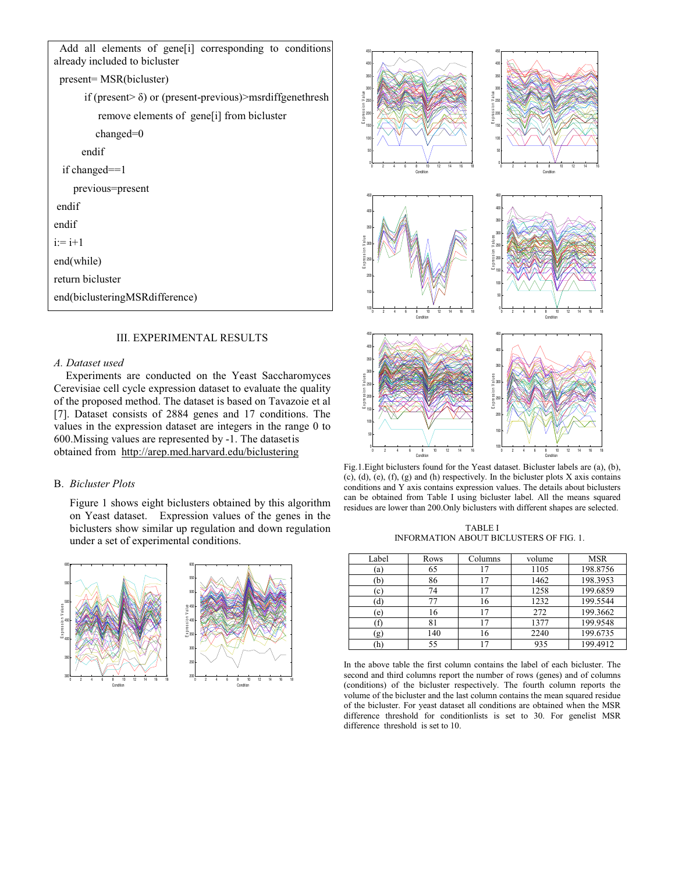

### III. EXPERIMENTAL RESULTS

## *A. Dataset used*

Experiments are conducted on the Yeast Saccharomyces Cerevisiae cell cycle expression dataset to evaluate the quality of the proposed method. The dataset is based on Tavazoie et al [7]. Dataset consists of 2884 genes and 17 conditions. The values in the expression dataset are integers in the range 0 to 600.Missing values are represented by -1. The dataset is obtained from http://arep.med.harvard.edu/biclustering

# B. *Bicluster Plots*

Figure 1 shows eight biclusters obtained by this algorithm on Yeast dataset. Expression values of the genes in the biclusters show similar up regulation and down regulation under a set of experimental conditions.





Fig.1.Eight biclusters found for the Yeast dataset. Bicluster labels are (a), (b),  $(c)$ ,  $(d)$ ,  $(e)$ ,  $(f)$ ,  $(g)$  and  $(h)$  respectively. In the bicluster plots X axis contains conditions and Y axis contains expression values. The details about biclusters can be obtained from Table I using bicluster label. All the means squared residues are lower than 200.Only biclusters with different shapes are selected.

TABLE I INFORMATION ABOUT BICLUSTERS OF FIG. 1.

| Label             | Rows | Columns | volume | <b>MSR</b> |
|-------------------|------|---------|--------|------------|
| (a)               | 65   | 17      | 1105   | 198.8756   |
| (b)               | 86   | 17      | 1462   | 198.3953   |
| $\left( c\right)$ | 74   | 17      | 1258   | 199.6859   |
| (d)               | 77   | 16      | 1232   | 199.5544   |
| (e)               | 16   | 17      | 272    | 199.3662   |
| f)                | 81   | 17      | 1377   | 199.9548   |
| (g)               | 140  | 16      | 2240   | 199.6735   |
| (h)               | 55   | 17      | 935    | 199.4912   |

In the above table the first column contains the label of each bicluster. The second and third columns report the number of rows (genes) and of columns (conditions) of the bicluster respectively. The fourth column reports the volume of the bicluster and the last column contains the mean squared residue of the bicluster. For yeast dataset all conditions are obtained when the MSR difference threshold for conditionlists is set to 30. For genelist MSR difference threshold is set to 10.